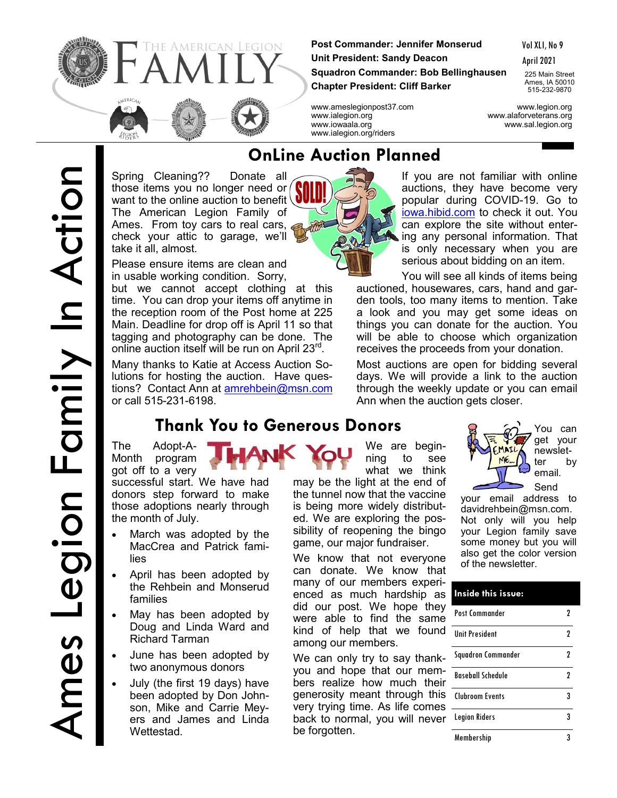

**Post Commander: Jennifer Monserud Unit President: Sandy Deacon Squadron Commander: Bob Bellinghausen Chapter President: Cliff Barker**

Vol XLI, No 9

April 2021

225 Main Street Ames, IA 50010 515-232-9870

www.ameslegionpost37.com www.legion.org www.ialegion.org www.alaforveterans.org www.iowaala.org www.sal.legion.org www.ialegion.org/riders

Spring Cleaning?? Donate all those items you no longer need or want to the online auction to benefit The American Legion Family of Ames. From toy cars to real cars,  $\epsilon$ check your attic to garage, we'll take it all, almost.

Please ensure items are clean and in usable working condition. Sorry,

but we cannot accept clothing at this time. You can drop your items off anytime in the reception room of the Post home at 225 Main. Deadline for drop off is April 11 so that tagging and photography can be done. The online auction itself will be run on April 23<sup>rd</sup>.

Many thanks to Katie at Access Auction Solutions for hosting the auction. Have questions? Contact Ann at [amrehbein@msn.com](mailto:amrehbein@msn.com) or call 515-231-6198.

## **Thank You to Generous Donors B**  $\widehat{M}$  You can

The Adopt-A-Month program got off to a very

successful start. We have had donors step forward to make those adoptions nearly through the month of July.

- March was adopted by the MacCrea and Patrick families
- April has been adopted by the Rehbein and Monserud families
- May has been adopted by Doug and Linda Ward and Richard Tarman
- June has been adopted by two anonymous donors
- July (the first 19 days) have been adopted by Don Johnson, Mike and Carrie Meyers and James and Linda Wettestad.



If you are not familiar with online auctions, they have become very popular during COVID-19. Go to [iowa.hibid.com](https://iowa.hibid.com/) to check it out. You can explore the site without entering any personal information. That is only necessary when you are serious about bidding on an item.

You will see all kinds of items being auctioned, housewares, cars, hand and garden tools, too many items to mention. Take a look and you may get some ideas on things you can donate for the auction. You will be able to choose which organization receives the proceeds from your donation.

Most auctions are open for bidding several days. We will provide a link to the auction through the weekly update or you can email Ann when the auction gets closer.

We are beginning to see what we think

may be the light at the end of the tunnel now that the vaccine is being more widely distributed. We are exploring the possibility of reopening the bingo game, our major fundraiser. We know that not everyone can donate. We know that many of our members experi-

did our post. We hope they were able to find the same

We can only try to say thank-

bers realize how much their

very trying time. As life comes

among our members.

be forgotten.



get your newsletter by email.

your email address to davidrehbein@msn.com. Not only will you help your Legion family save some money but you will also get the color version of the newsletter.

#### enced as much hardship as kind of help that we found you and hope that our memgenerosity meant through this back to normal, you will never Legion Riders 33 Post Commander 2 Unit President 2 Squadron Commander 2 Baseball Schedule 2 Clubroom Events 3 Membership 3 **Inside this issue:**

# **OnLine Auction Planned**

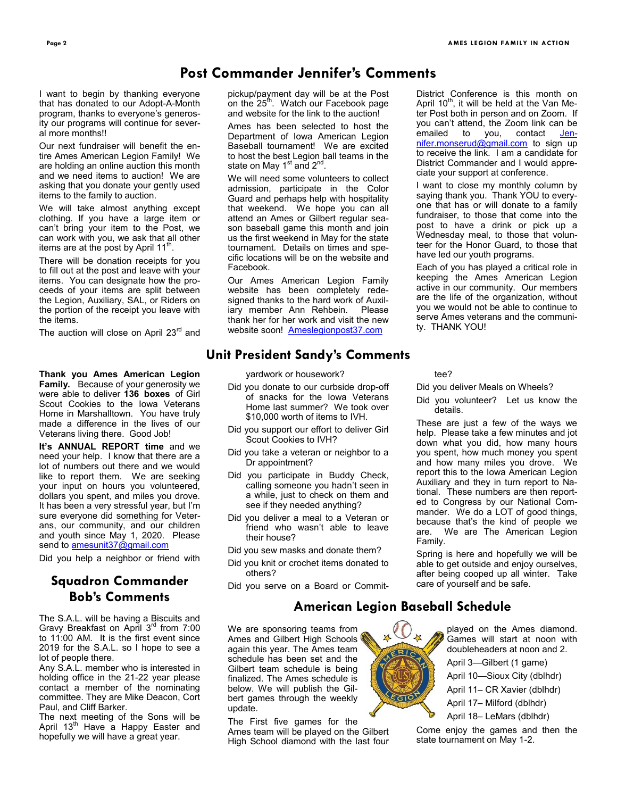District Conference is this month on April  $10^{th}$ , it will be held at the Van Meter Post both in person and on Zoom. If you can't attend, the Zoom link can be<br>emailed to you, contact Jenemailed to you, contact <u>Jen-</u> [nifer.monserud@gmail.com](mailto:Jennifer.monserud@gmail.com) to sign up to receive the link. I am a candidate for District Commander and I would appreciate your support at conference. I want to close my monthly column by saying thank you. Thank YOU to everyone that has or will donate to a family fundraiser, to those that come into the post to have a drink or pick up a Wednesday meal, to those that volunteer for the Honor Guard, to those that

## **Post Commander Jennifer's Comments**

I want to begin by thanking everyone that has donated to our Adopt-A-Month program, thanks to everyone's generosity our programs will continue for several more months!!

Our next fundraiser will benefit the entire Ames American Legion Family! We are holding an online auction this month and we need items to auction! We are asking that you donate your gently used items to the family to auction.

We will take almost anything except clothing. If you have a large item or can't bring your item to the Post, we can work with you, we ask that all other items are at the post by April 11<sup>th</sup>.

There will be donation receipts for you to fill out at the post and leave with your items. You can designate how the proceeds of your items are split between the Legion, Auxiliary, SAL, or Riders on the portion of the receipt you leave with the items.

The auction will close on April 23<sup>rd</sup> and

**Thank you Ames American Legion Family.** Because of your generosity we were able to deliver **136 boxes** of Girl Scout Cookies to the Iowa Veterans Home in Marshalltown. You have truly made a difference in the lives of our Veterans living there. Good Job!

**It's ANNUAL REPORT time** and we need your help. I know that there are a lot of numbers out there and we would like to report them. We are seeking your input on hours you volunteered, dollars you spent, and miles you drove. It has been a very stressful year, but I'm sure everyone did something for Veterans, our community, and our children and youth since May 1, 2020. Please send to [amesunit37@gmail.com](mailto:amesunit37@gmail.com)

Did you help a neighbor or friend with

## **Squadron Commander Bob's Comments**

The S.A.L. will be having a Biscuits and Gravy Breakfast on April 3rd from 7:00 to 11:00 AM. It is the first event since 2019 for the S.A.L. so I hope to see a lot of people there.

Any S.A.L. member who is interested in holding office in the 21-22 year please contact a member of the nominating committee. They are Mike Deacon, Cort Paul, and Cliff Barker.

The next meeting of the Sons will be April 13<sup>th</sup> Have a Happy Easter and hopefully we will have a great year.

pickup/payment day will be at the Post on the 25<sup>th</sup>. Watch our Facebook page and website for the link to the auction!

Ames has been selected to host the Department of Iowa American Legion Baseball tournament! We are excited to host the best Legion ball teams in the state on May 1 $^{\rm st}$  and 2 $^{\rm nd}$ .

We will need some volunteers to collect admission, participate in the Color Guard and perhaps help with hospitality that weekend. We hope you can all attend an Ames or Gilbert regular season baseball game this month and join us the first weekend in May for the state tournament. Details on times and specific locations will be on the website and Facebook.

Our Ames American Legion Family website has been completely redesigned thanks to the hard work of Auxiliary member Ann Rehbein. Please thank her for her work and visit the new website soon! [Ameslegionpost37.com](https://ameslegionpost37.com/)

### **Unit President Sandy's Comments**

yardwork or housework?

- Did you donate to our curbside drop-off of snacks for the Iowa Veterans Home last summer? We took over \$10,000 worth of items to IVH.
- Did you support our effort to deliver Girl Scout Cookies to IVH?
- Did you take a veteran or neighbor to a Dr appointment?
- Did you participate in Buddy Check, calling someone you hadn't seen in a while, just to check on them and see if they needed anything?
- Did you deliver a meal to a Veteran or friend who wasn't able to leave their house?
- Did you sew masks and donate them?
- Did you knit or crochet items donated to others?
- Did you serve on a Board or Commit-

#### tee?

ty. THANK YOU!

Did you deliver Meals on Wheels?

have led our youth programs.

Each of you has played a critical role in keeping the Ames American Legion active in our community. Our members are the life of the organization, without you we would not be able to continue to serve Ames veterans and the communi-

Did you volunteer? Let us know the details.

These are just a few of the ways we help. Please take a few minutes and jot down what you did, how many hours you spent, how much money you spent and how many miles you drove. We report this to the Iowa American Legion Auxiliary and they in turn report to National. These numbers are then reported to Congress by our National Commander. We do a LOT of good things, because that's the kind of people we are. We are The American Legion Family.

Spring is here and hopefully we will be able to get outside and enjoy ourselves, after being cooped up all winter. Take care of yourself and be safe.

## **American Legion Baseball Schedule**

We are sponsoring teams from Ames and Gilbert High Schools again this year. The Ames team schedule has been set and the Gilbert team schedule is being finalized. The Ames schedule is below. We will publish the Gilbert games through the weekly update.

The First five games for the Ames team will be played on the Gilbert High School diamond with the last four



played on the Ames diamond. Games will start at noon with doubleheaders at noon and 2. April 3—Gilbert (1 game) April 10—Sioux City (dblhdr) April 11– CR Xavier (dblhdr) April 17– Milford (dblhdr)

April 18– LeMars (dblhdr)

Come enjoy the games and then the state tournament on May 1-2.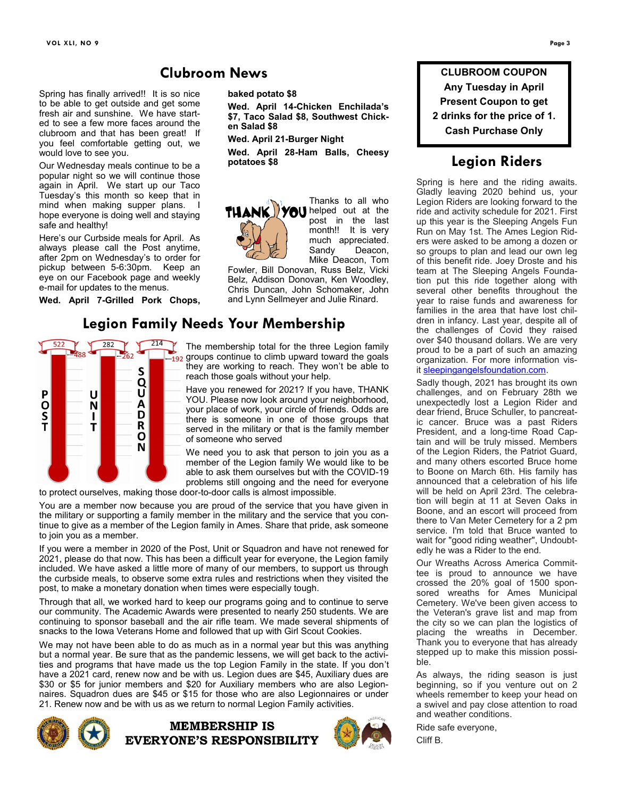## **Clubroom News**

Spring has finally arrived!! It is so nice to be able to get outside and get some fresh air and sunshine. We have started to see a few more faces around the clubroom and that has been great! If you feel comfortable getting out, we would love to see you.

Our Wednesday meals continue to be a popular night so we will continue those again in April. We start up our Taco Tuesday's this month so keep that in mind when making supper plans. I hope everyone is doing well and staying safe and healthy!

Here's our Curbside meals for April. As always please call the Post anytime, after 2pm on Wednesday's to order for pickup between 5-6:30pm. Keep an eye on our Facebook page and weekly e-mail for updates to the menus.

**Wed. April 7-Grilled Pork Chops,** 



**baked potato \$8**

**Wed. April 14-Chicken Enchilada's \$7, Taco Salad \$8, Southwest Chicken Salad \$8**

**Wed. April 21-Burger Night**

**Wed. April 28-Ham Balls, Cheesy potatoes \$8**



Thanks to all who post in the last month!! It is very much appreciated.<br>Sandy Deacon, Deacon, Mike Deacon, Tom

Fowler, Bill Donovan, Russ Belz, Vicki Belz, Addison Donovan, Ken Woodley, Chris Duncan, John Schomaker, John and Lynn Sellmeyer and Julie Rinard.

The membership total for the three Legion family  $\frac{1}{2}$  groups continue to climb upward toward the goals they are working to reach. They won't be able to reach those goals without your help.

Have you renewed for 2021? If you have, THANK YOU. Please now look around your neighborhood, your place of work, your circle of friends. Odds are there is someone in one of those groups that served in the military or that is the family member of someone who served

We need you to ask that person to join you as a member of the Legion family We would like to be able to ask them ourselves but with the COVID-19 problems still ongoing and the need for everyone

to protect ourselves, making those door-to-door calls is almost impossible.

You are a member now because you are proud of the service that you have given in the military or supporting a family member in the military and the service that you continue to give as a member of the Legion family in Ames. Share that pride, ask someone to join you as a member.

If you were a member in 2020 of the Post, Unit or Squadron and have not renewed for 2021, please do that now. This has been a difficult year for everyone, the Legion family included. We have asked a little more of many of our members, to support us through the curbside meals, to observe some extra rules and restrictions when they visited the post, to make a monetary donation when times were especially tough.

Through that all, we worked hard to keep our programs going and to continue to serve our community. The Academic Awards were presented to nearly 250 students. We are continuing to sponsor baseball and the air rifle team. We made several shipments of snacks to the Iowa Veterans Home and followed that up with Girl Scout Cookies.

We may not have been able to do as much as in a normal year but this was anything but a normal year. Be sure that as the pandemic lessens, we will get back to the activities and programs that have made us the top Legion Family in the state. If you don't have a 2021 card, renew now and be with us. Legion dues are \$45, Auxiliary dues are \$30 or \$5 for junior members and \$20 for Auxiliary members who are also Legionnaires. Squadron dues are \$45 or \$15 for those who are also Legionnaires or under 21. Renew now and be with us as we return to normal Legion Family activities.







**CLUBROOM COUPON Any Tuesday in April Present Coupon to get 2 drinks for the price of 1. Cash Purchase Only**

## **Legion Riders**

Spring is here and the riding awaits. Gladly leaving 2020 behind us, your Legion Riders are looking forward to the ride and activity schedule for 2021. First up this year is the Sleeping Angels Fun Run on May 1st. The Ames Legion Riders were asked to be among a dozen or so groups to plan and lead our own leg of this benefit ride. Joey Droste and his team at The Sleeping Angels Foundation put this ride together along with several other benefits throughout the year to raise funds and awareness for families in the area that have lost children in infancy. Last year, despite all of the challenges of Covid they raised over \$40 thousand dollars. We are very proud to be a part of such an amazing organization. For more information visit [sleepingangelsfoundation.com.](https://na01.safelinks.protection.outlook.com/?url=http%3A%2F%2Fsleepingangelsfoundation.com%2F&data=04%7C01%7C%7Ce3483d4b0a2242f4be6108d8eae045f4%7C84df9e7fe9f640afb435aaaaaaaaaaaa%7C1%7C0%7C637517596246057116%7CUnknown%7CTWFpbGZsb3d8eyJWIjoiMC4wLjAwMDAiLCJQ)

Sadly though, 2021 has brought its own challenges, and on February 28th we unexpectedly lost a Legion Rider and dear friend, Bruce Schuller, to pancreatic cancer. Bruce was a past Riders President, and a long-time Road Captain and will be truly missed. Members of the Legion Riders, the Patriot Guard, and many others escorted Bruce home to Boone on March 6th. His family has announced that a celebration of his life will be held on April 23rd. The celebration will begin at 11 at Seven Oaks in Boone, and an escort will proceed from there to Van Meter Cemetery for a 2 pm service. I'm told that Bruce wanted to wait for "good riding weather", Undoubtedly he was a Rider to the end.

Our Wreaths Across America Committee is proud to announce we have crossed the 20% goal of 1500 sponsored wreaths for Ames Municipal Cemetery. We've been given access to the Veteran's grave list and map from the city so we can plan the logistics of placing the wreaths in December. Thank you to everyone that has already stepped up to make this mission possible.

As always, the riding season is just beginning, so if you venture out on 2 wheels remember to keep your head on a swivel and pay close attention to road and weather conditions.

Ride safe everyone,

Cliff B.